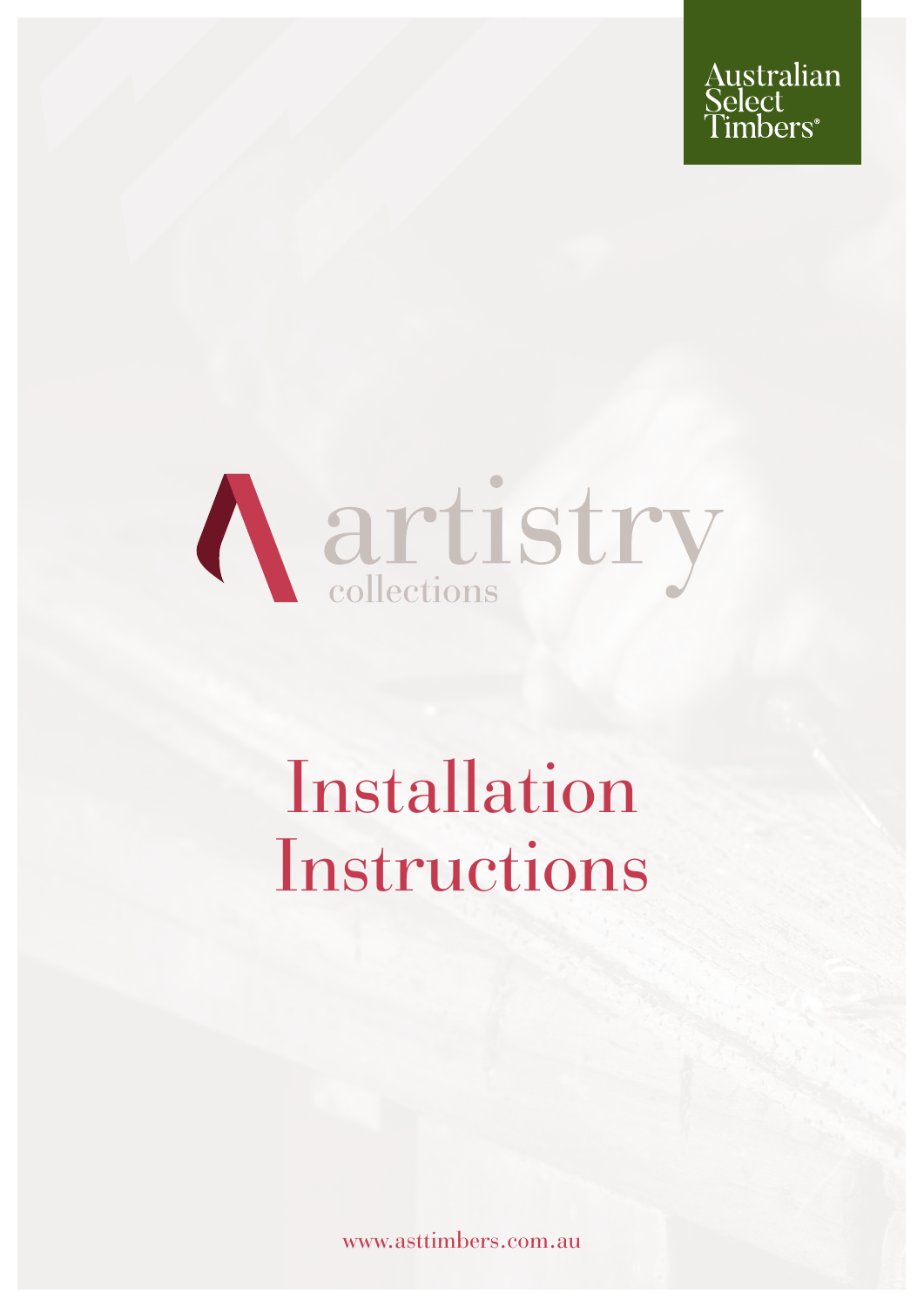



## Installation Instructions

www.asttimbers.com.au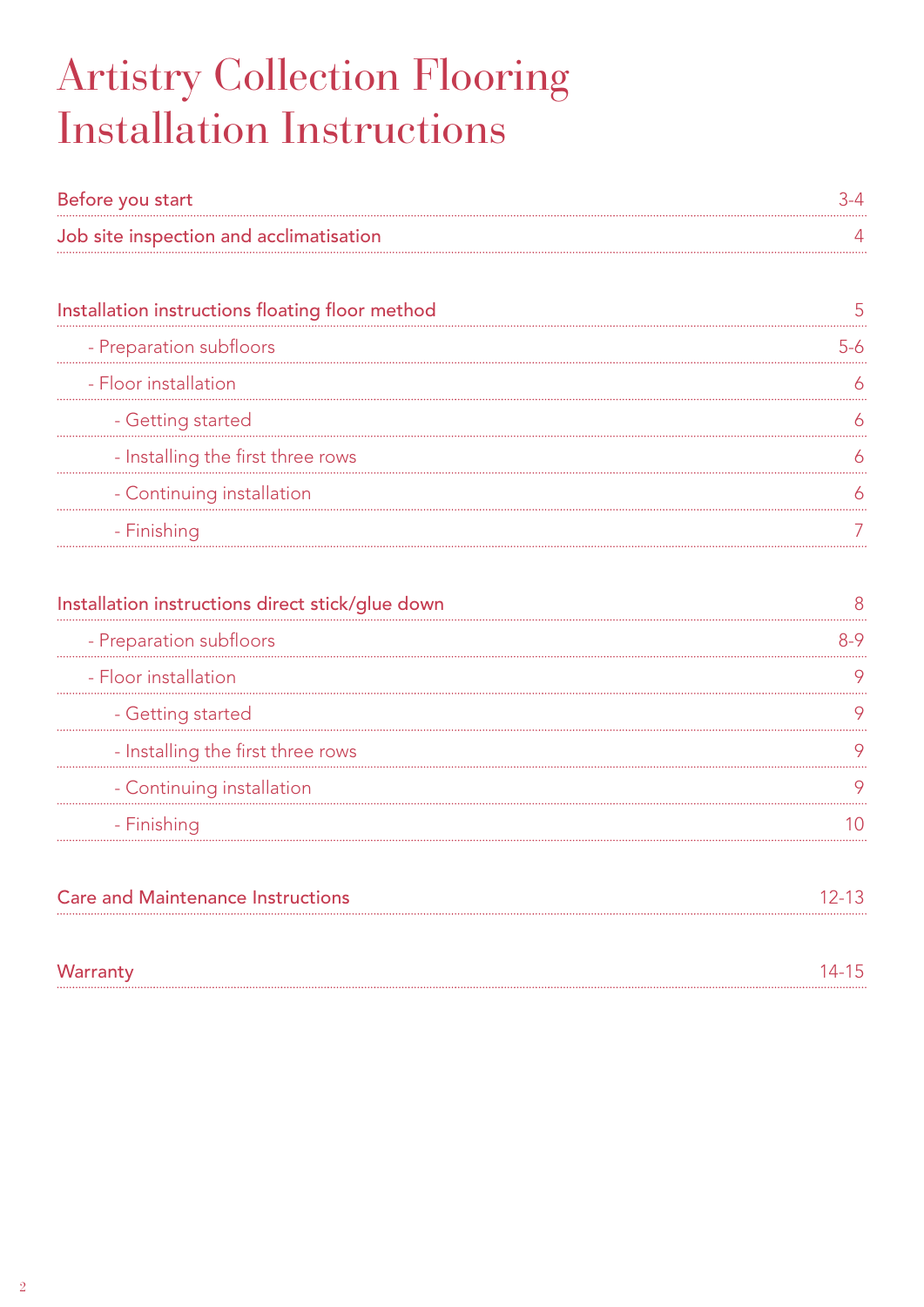## Artistry Collection Flooring Installation Instructions

| Before you start                        |  |
|-----------------------------------------|--|
| Job site inspection and acclimatisation |  |

| Installation instructions floating floor method |  |
|-------------------------------------------------|--|
| - Preparation subfloors                         |  |
| - Floor installation                            |  |
| - Getting started                               |  |
| - Installing the first three rows               |  |
| - Continuing installation                       |  |
| - Finishing                                     |  |

| Installation instructions direct stick/glue down |  |
|--------------------------------------------------|--|
| - Preparation subfloors                          |  |
| - Floor installation                             |  |
| - Getting started                                |  |
| - Installing the first three rows                |  |
| - Continuing installation                        |  |
| - Finishing                                      |  |

| <b>Care and Maintenance Instructions</b><br>---------- | $12 - 13$ |
|--------------------------------------------------------|-----------|
|                                                        |           |
| Warranty                                               | $14 - 15$ |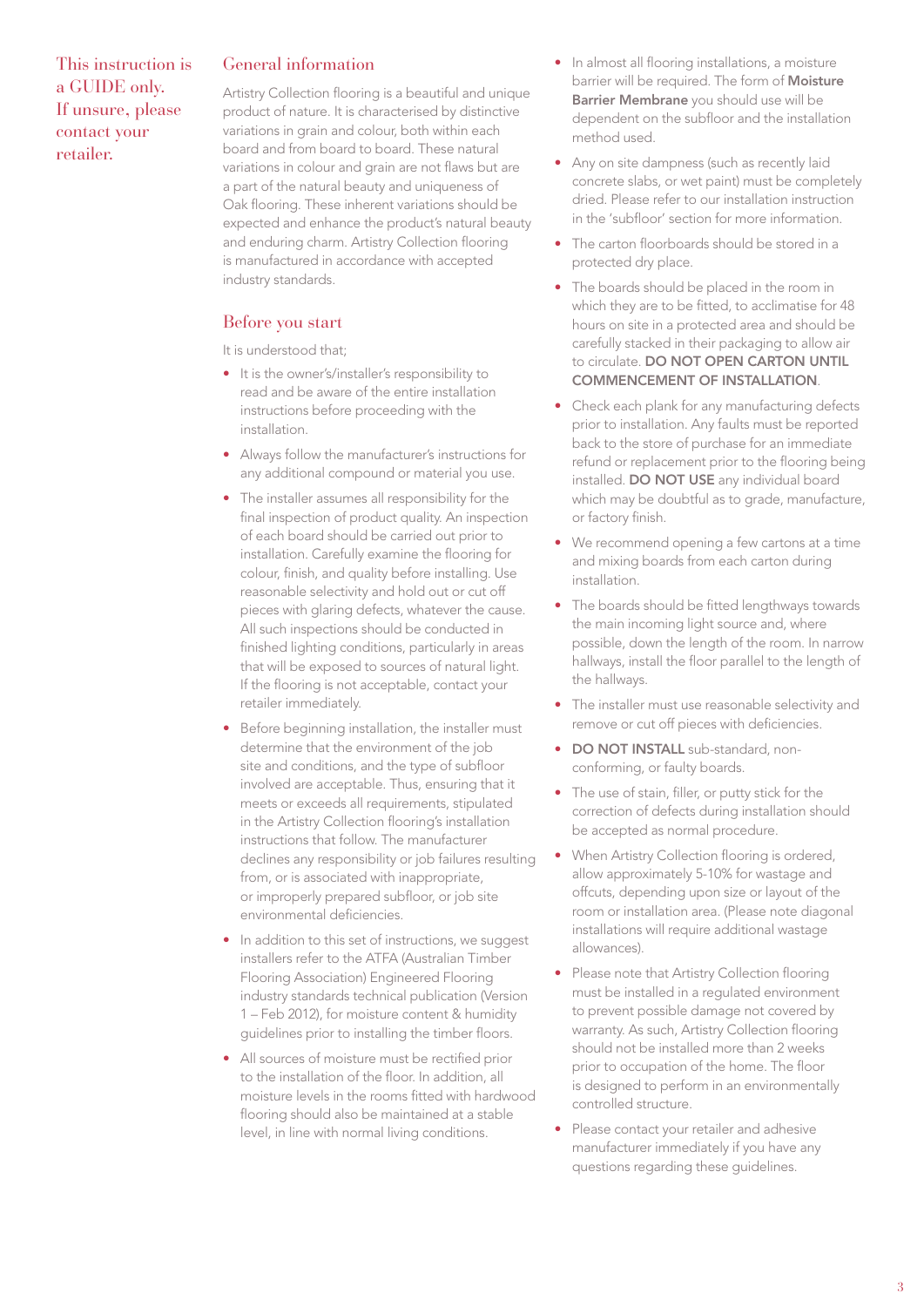#### General information

Artistry Collection flooring is a beautiful and unique product of nature. It is characterised by distinctive variations in grain and colour, both within each board and from board to board. These natural variations in colour and grain are not flaws but are a part of the natural beauty and uniqueness of Oak flooring. These inherent variations should be expected and enhance the product's natural beauty and enduring charm. Artistry Collection flooring is manufactured in accordance with accepted industry standards.

#### Before you start

It is understood that;

- It is the owner's/installer's responsibility to read and be aware of the entire installation instructions before proceeding with the installation.
- Always follow the manufacturer's instructions for any additional compound or material you use.
- The installer assumes all responsibility for the final inspection of product quality. An inspection of each board should be carried out prior to installation. Carefully examine the flooring for colour, finish, and quality before installing. Use reasonable selectivity and hold out or cut off pieces with glaring defects, whatever the cause. All such inspections should be conducted in finished lighting conditions, particularly in areas that will be exposed to sources of natural light. If the flooring is not acceptable, contact your retailer immediately.
- Before beginning installation, the installer must determine that the environment of the job site and conditions, and the type of subfloor involved are acceptable. Thus, ensuring that it meets or exceeds all requirements, stipulated in the Artistry Collection flooring's installation instructions that follow. The manufacturer declines any responsibility or job failures resulting from, or is associated with inappropriate, or improperly prepared subfloor, or job site environmental deficiencies.
- In addition to this set of instructions, we suggest installers refer to the ATFA (Australian Timber Flooring Association) Engineered Flooring industry standards technical publication (Version 1 – Feb 2012), for moisture content & humidity guidelines prior to installing the timber floors.
- All sources of moisture must be rectified prior to the installation of the floor. In addition, all moisture levels in the rooms fitted with hardwood flooring should also be maintained at a stable level, in line with normal living conditions.
- In almost all flooring installations, a moisture barrier will be required. The form of Moisture Barrier Membrane you should use will be dependent on the subfloor and the installation method used.
- Any on site dampness (such as recently laid concrete slabs, or wet paint) must be completely dried. Please refer to our installation instruction in the 'subfloor' section for more information.
- The carton floorboards should be stored in a protected dry place.
- The boards should be placed in the room in which they are to be fitted, to acclimatise for 48 hours on site in a protected area and should be carefully stacked in their packaging to allow air to circulate. DO NOT OPEN CARTON UNTIL COMMENCEMENT OF INSTALLATION.
- Check each plank for any manufacturing defects prior to installation. Any faults must be reported back to the store of purchase for an immediate refund or replacement prior to the flooring being installed. DO NOT USE any individual board which may be doubtful as to grade, manufacture, or factory finish.
- We recommend opening a few cartons at a time and mixing boards from each carton during installation.
- The boards should be fitted lengthways towards the main incoming light source and, where possible, down the length of the room. In narrow hallways, install the floor parallel to the length of the hallways.
- The installer must use reasonable selectivity and remove or cut off pieces with deficiencies.
- DO NOT INSTALL sub-standard, nonconforming, or faulty boards.
- The use of stain, filler, or putty stick for the correction of defects during installation should be accepted as normal procedure.
- When Artistry Collection flooring is ordered, allow approximately 5-10% for wastage and offcuts, depending upon size or layout of the room or installation area. (Please note diagonal installations will require additional wastage allowances).
- Please note that Artistry Collection flooring must be installed in a regulated environment to prevent possible damage not covered by warranty. As such, Artistry Collection flooring should not be installed more than 2 weeks prior to occupation of the home. The floor is designed to perform in an environmentally controlled structure.
- Please contact your retailer and adhesive manufacturer immediately if you have any questions regarding these guidelines.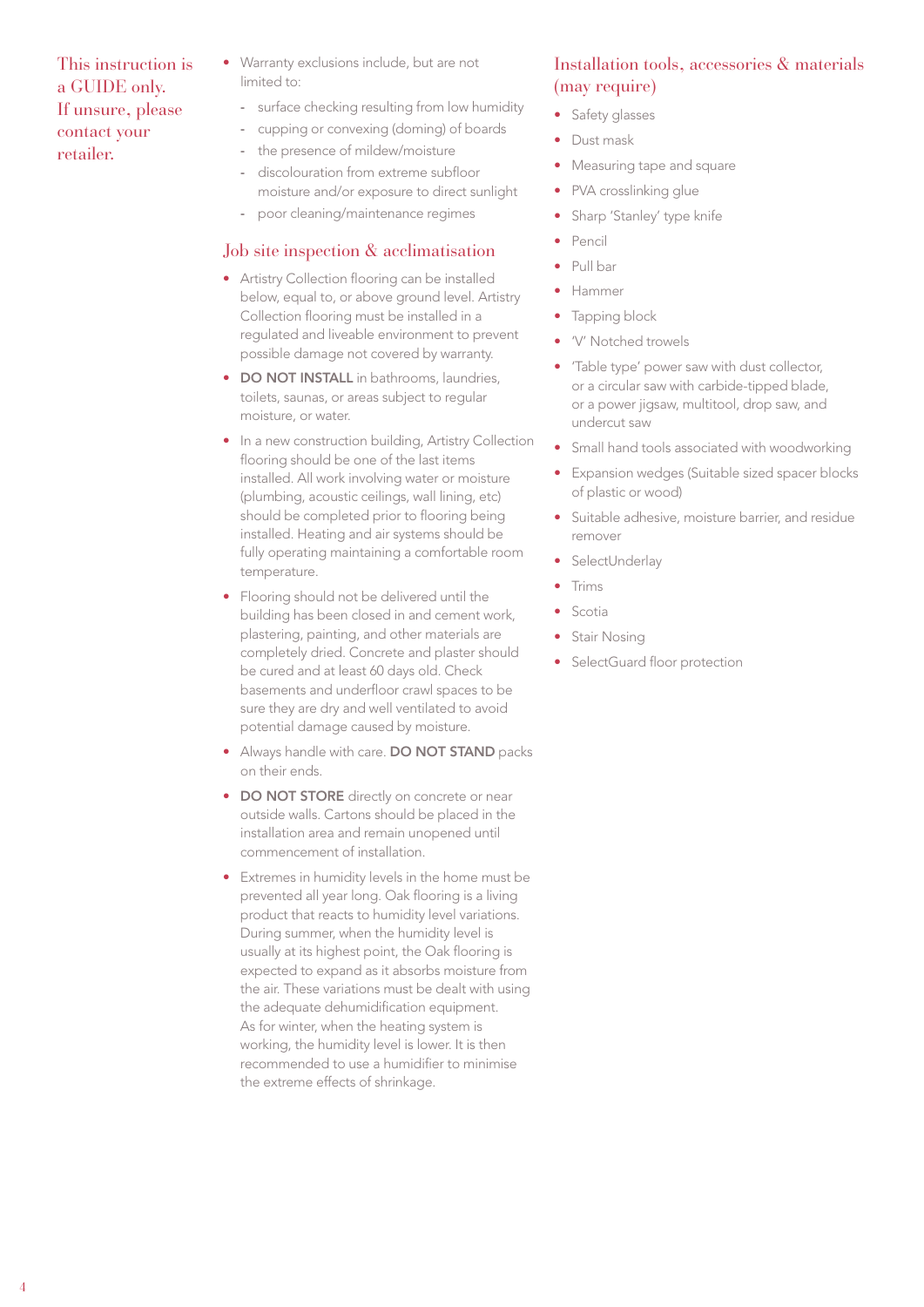- Warranty exclusions include, but are not limited to:
	- surface checking resulting from low humidity
	- cupping or convexing (doming) of boards
	- the presence of mildew/moisture
	- discolouration from extreme subfloor moisture and/or exposure to direct sunlight
	- poor cleaning/maintenance regimes

#### Job site inspection & acclimatisation

- Artistry Collection flooring can be installed below, equal to, or above ground level. Artistry Collection flooring must be installed in a regulated and liveable environment to prevent possible damage not covered by warranty.
- DO NOT INSTALL in bathrooms, laundries, toilets, saunas, or areas subject to regular moisture, or water.
- In a new construction building, Artistry Collection flooring should be one of the last items installed. All work involving water or moisture (plumbing, acoustic ceilings, wall lining, etc) should be completed prior to flooring being installed. Heating and air systems should be fully operating maintaining a comfortable room temperature.
- Flooring should not be delivered until the building has been closed in and cement work, plastering, painting, and other materials are completely dried. Concrete and plaster should be cured and at least 60 days old. Check basements and underfloor crawl spaces to be sure they are dry and well ventilated to avoid potential damage caused by moisture.
- Always handle with care. DO NOT STAND packs on their ends.
- DO NOT STORE directly on concrete or near outside walls. Cartons should be placed in the installation area and remain unopened until commencement of installation.
- Extremes in humidity levels in the home must be prevented all year long. Oak flooring is a living product that reacts to humidity level variations. During summer, when the humidity level is usually at its highest point, the Oak flooring is expected to expand as it absorbs moisture from the air. These variations must be dealt with using the adequate dehumidification equipment. As for winter, when the heating system is working, the humidity level is lower. It is then recommended to use a humidifier to minimise the extreme effects of shrinkage.

#### Installation tools, accessories & materials (may require)

- Safety glasses
- Dust mask
- Measuring tape and square
- PVA crosslinking glue
- Sharp 'Stanley' type knife
- Pencil
- Pull bar
- Hammer
- Tapping block
- 'V' Notched trowels
- 'Table type' power saw with dust collector, or a circular saw with carbide-tipped blade, or a power jigsaw, multitool, drop saw, and undercut saw
- Small hand tools associated with woodworking
- Expansion wedges (Suitable sized spacer blocks of plastic or wood)
- Suitable adhesive, moisture barrier, and residue remover
- **SelectUnderlay**
- Trims
- Scotia
- Stair Nosing
- SelectGuard floor protection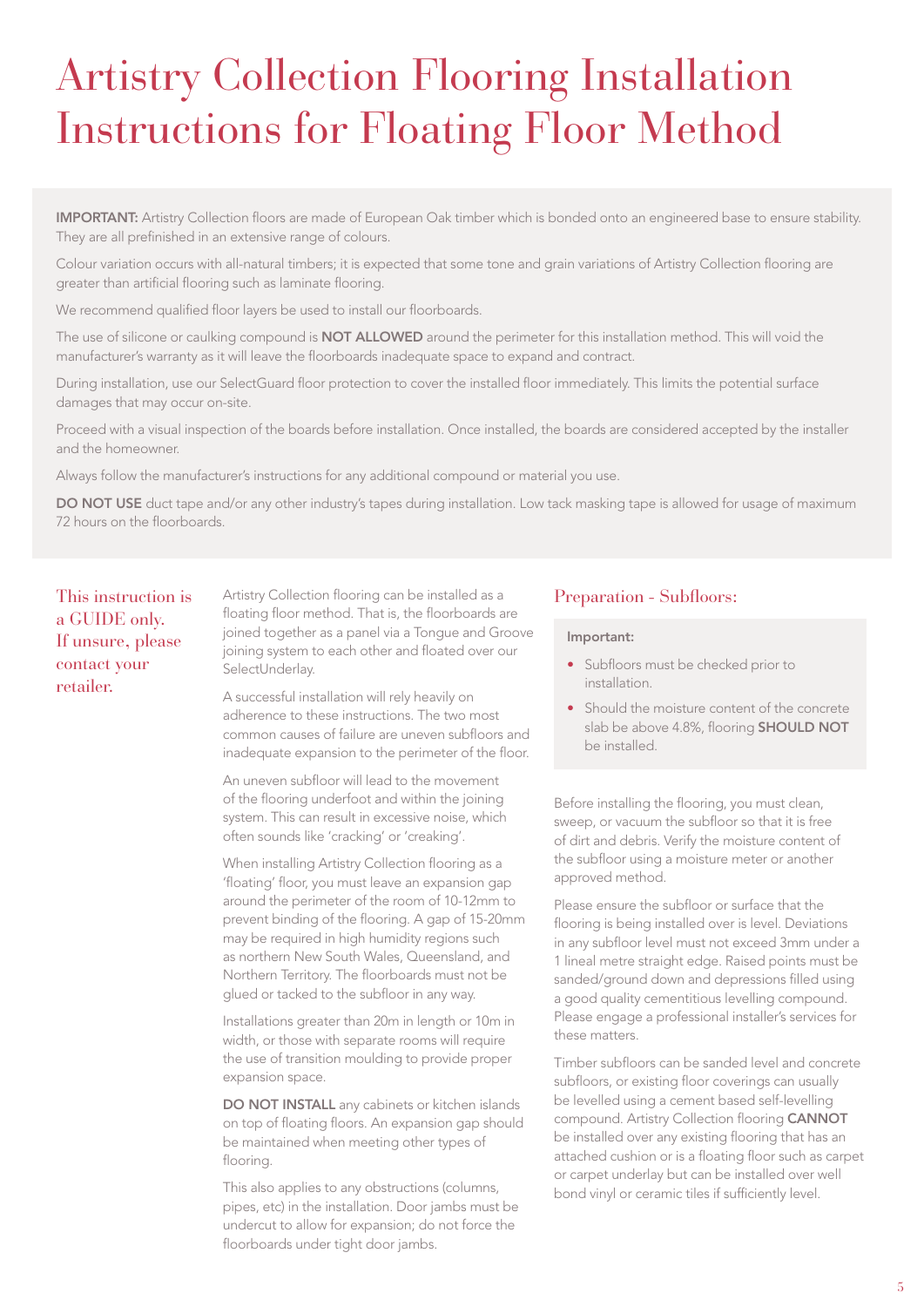## Artistry Collection Flooring Installation Instructions for Floating Floor Method

IMPORTANT: Artistry Collection floors are made of European Oak timber which is bonded onto an engineered base to ensure stability. They are all prefinished in an extensive range of colours.

Colour variation occurs with all-natural timbers; it is expected that some tone and grain variations of Artistry Collection flooring are greater than artificial flooring such as laminate flooring.

We recommend qualified floor layers be used to install our floorboards.

The use of silicone or caulking compound is NOT ALLOWED around the perimeter for this installation method. This will void the manufacturer's warranty as it will leave the floorboards inadequate space to expand and contract.

During installation, use our SelectGuard floor protection to cover the installed floor immediately. This limits the potential surface damages that may occur on-site.

Proceed with a visual inspection of the boards before installation. Once installed, the boards are considered accepted by the installer and the homeowner.

Always follow the manufacturer's instructions for any additional compound or material you use.

DO NOT USE duct tape and/or any other industry's tapes during installation. Low tack masking tape is allowed for usage of maximum 72 hours on the floorboards.

This instruction is a GUIDE only. If unsure, please contact your retailer.

Artistry Collection flooring can be installed as a floating floor method. That is, the floorboards are joined together as a panel via a Tongue and Groove joining system to each other and floated over our SelectUnderlay.

A successful installation will rely heavily on adherence to these instructions. The two most common causes of failure are uneven subfloors and inadequate expansion to the perimeter of the floor.

An uneven subfloor will lead to the movement of the flooring underfoot and within the joining system. This can result in excessive noise, which often sounds like 'cracking' or 'creaking'.

When installing Artistry Collection flooring as a 'floating' floor, you must leave an expansion gap around the perimeter of the room of 10-12mm to prevent binding of the flooring. A gap of 15-20mm may be required in high humidity regions such as northern New South Wales, Queensland, and Northern Territory. The floorboards must not be glued or tacked to the subfloor in any way.

Installations greater than 20m in length or 10m in width, or those with separate rooms will require the use of transition moulding to provide proper expansion space.

DO NOT INSTALL any cabinets or kitchen islands on top of floating floors. An expansion gap should be maintained when meeting other types of flooring.

This also applies to any obstructions (columns, pipes, etc) in the installation. Door jambs must be undercut to allow for expansion; do not force the floorboards under tight door jambs.

#### Preparation - Subfloors:

#### Important:

- Subfloors must be checked prior to installation.
- Should the moisture content of the concrete slab be above 4.8%, flooring **SHOULD NOT** be installed.

Before installing the flooring, you must clean, sweep, or vacuum the subfloor so that it is free of dirt and debris. Verify the moisture content of the subfloor using a moisture meter or another approved method.

Please ensure the subfloor or surface that the flooring is being installed over is level. Deviations in any subfloor level must not exceed 3mm under a 1 lineal metre straight edge. Raised points must be sanded/ground down and depressions filled using a good quality cementitious levelling compound. Please engage a professional installer's services for these matters.

Timber subfloors can be sanded level and concrete subfloors, or existing floor coverings can usually be levelled using a cement based self-levelling compound. Artistry Collection flooring CANNOT be installed over any existing flooring that has an attached cushion or is a floating floor such as carpet or carpet underlay but can be installed over well bond vinyl or ceramic tiles if sufficiently level.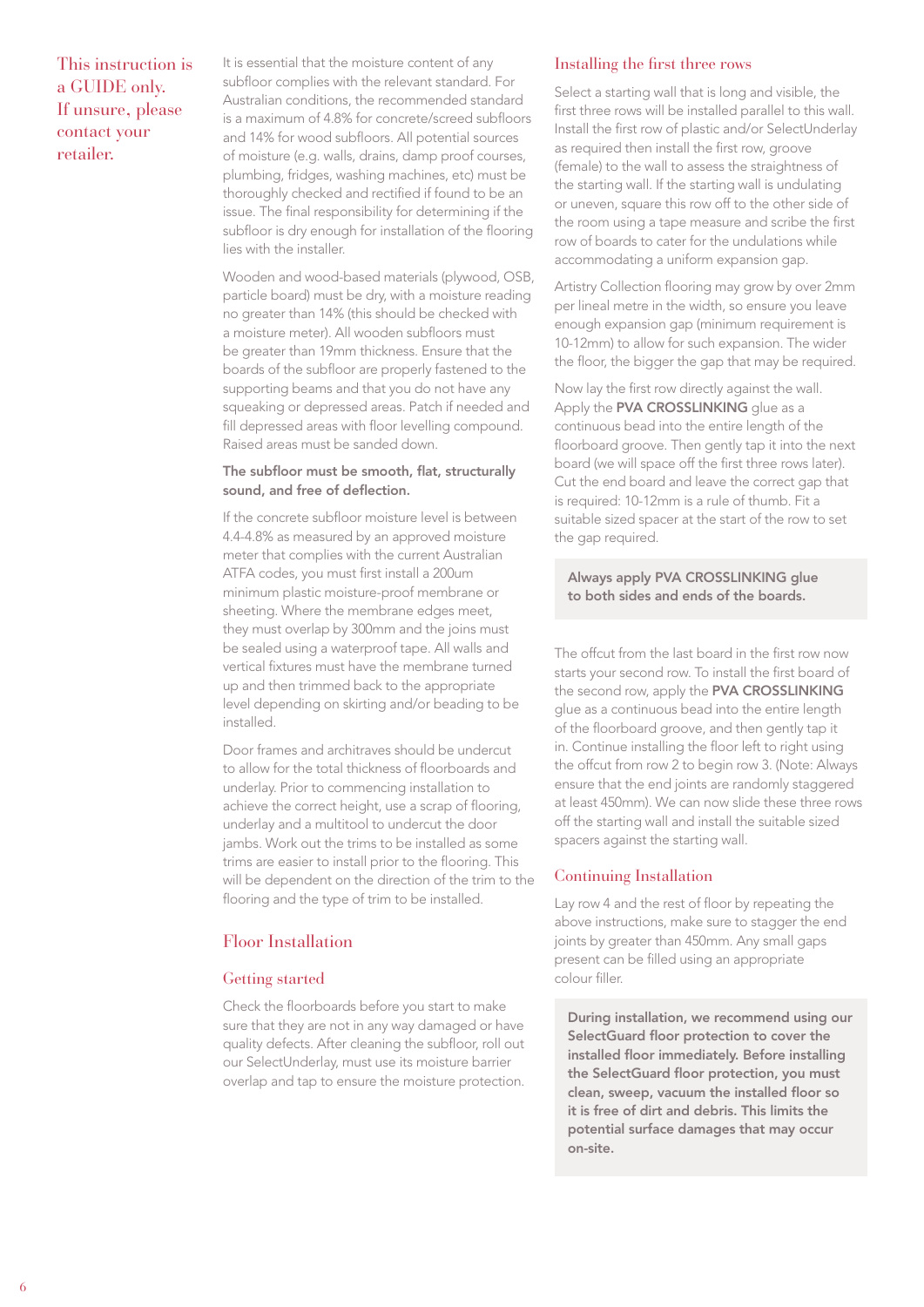It is essential that the moisture content of any subfloor complies with the relevant standard. For Australian conditions, the recommended standard is a maximum of 4.8% for concrete/screed subfloors and 14% for wood subfloors. All potential sources of moisture (e.g. walls, drains, damp proof courses, plumbing, fridges, washing machines, etc) must be thoroughly checked and rectified if found to be an issue. The final responsibility for determining if the subfloor is dry enough for installation of the flooring lies with the installer.

Wooden and wood-based materials (plywood, OSB, particle board) must be dry, with a moisture reading no greater than 14% (this should be checked with a moisture meter). All wooden subfloors must be greater than 19mm thickness. Ensure that the boards of the subfloor are properly fastened to the supporting beams and that you do not have any squeaking or depressed areas. Patch if needed and fill depressed areas with floor levelling compound. Raised areas must be sanded down.

#### The subfloor must be smooth, flat, structurally sound, and free of deflection.

If the concrete subfloor moisture level is between 4.4-4.8% as measured by an approved moisture meter that complies with the current Australian ATFA codes, you must first install a 200um minimum plastic moisture-proof membrane or sheeting. Where the membrane edges meet, they must overlap by 300mm and the joins must be sealed using a waterproof tape. All walls and vertical fixtures must have the membrane turned up and then trimmed back to the appropriate level depending on skirting and/or beading to be installed.

Door frames and architraves should be undercut to allow for the total thickness of floorboards and underlay. Prior to commencing installation to achieve the correct height, use a scrap of flooring, underlay and a multitool to undercut the door jambs. Work out the trims to be installed as some trims are easier to install prior to the flooring. This will be dependent on the direction of the trim to the flooring and the type of trim to be installed.

#### Floor Installation

#### Getting started

Check the floorboards before you start to make sure that they are not in any way damaged or have quality defects. After cleaning the subfloor, roll out our SelectUnderlay, must use its moisture barrier overlap and tap to ensure the moisture protection.

#### Installing the first three rows

Select a starting wall that is long and visible, the first three rows will be installed parallel to this wall. Install the first row of plastic and/or SelectUnderlay as required then install the first row, groove (female) to the wall to assess the straightness of the starting wall. If the starting wall is undulating or uneven, square this row off to the other side of the room using a tape measure and scribe the first row of boards to cater for the undulations while accommodating a uniform expansion gap.

Artistry Collection flooring may grow by over 2mm per lineal metre in the width, so ensure you leave enough expansion gap (minimum requirement is 10-12mm) to allow for such expansion. The wider the floor, the bigger the gap that may be required.

Now lay the first row directly against the wall. Apply the **PVA CROSSLINKING** glue as a continuous bead into the entire length of the floorboard groove. Then gently tap it into the next board (we will space off the first three rows later). Cut the end board and leave the correct gap that is required: 10-12mm is a rule of thumb. Fit a suitable sized spacer at the start of the row to set the gap required.

Always apply PVA CROSSLINKING glue to both sides and ends of the boards.

The offcut from the last board in the first row now starts your second row. To install the first board of the second row, apply the PVA CROSSLINKING glue as a continuous bead into the entire length of the floorboard groove, and then gently tap it in. Continue installing the floor left to right using the offcut from row 2 to begin row 3. (Note: Always ensure that the end joints are randomly staggered at least 450mm). We can now slide these three rows off the starting wall and install the suitable sized spacers against the starting wall.

#### Continuing Installation

Lay row 4 and the rest of floor by repeating the above instructions, make sure to stagger the end joints by greater than 450mm. Any small gaps present can be filled using an appropriate colour filler.

During installation, we recommend using our SelectGuard floor protection to cover the installed floor immediately. Before installing the SelectGuard floor protection, you must clean, sweep, vacuum the installed floor so it is free of dirt and debris. This limits the potential surface damages that may occur on-site.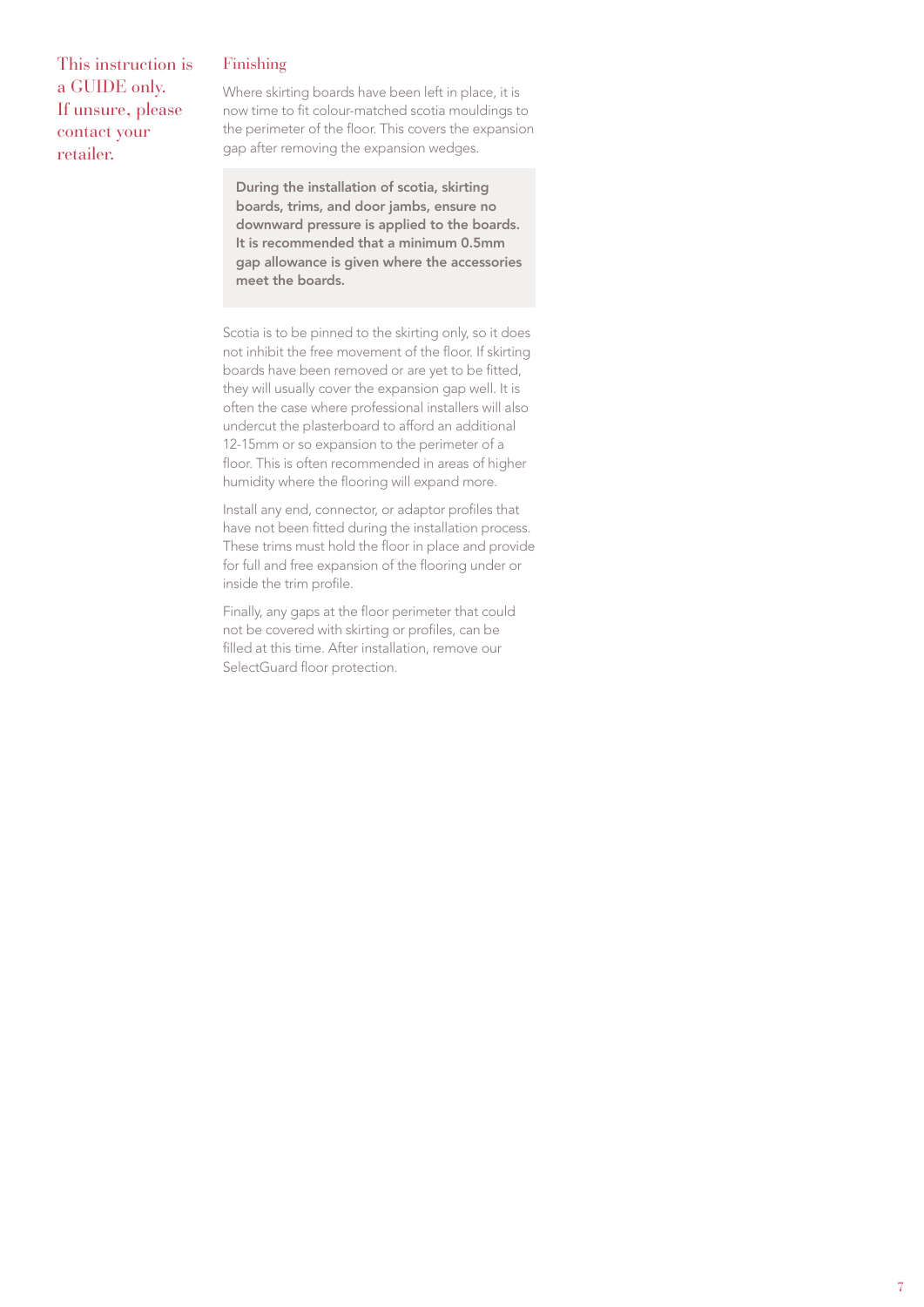#### Finishing

This instruction is a GUIDE only. If unsure, please contact your retailer.

Where skirting boards have been left in place, it is now time to fit colour-matched scotia mouldings to the perimeter of the floor. This covers the expansion gap after removing the expansion wedges.

During the installation of scotia, skirting boards, trims, and door jambs, ensure no downward pressure is applied to the boards. It is recommended that a minimum 0.5mm gap allowance is given where the accessories meet the boards.

Scotia is to be pinned to the skirting only, so it does not inhibit the free movement of the floor. If skirting boards have been removed or are yet to be fitted, they will usually cover the expansion gap well. It is often the case where professional installers will also undercut the plasterboard to afford an additional 12-15mm or so expansion to the perimeter of a floor. This is often recommended in areas of higher humidity where the flooring will expand more.

Install any end, connector, or adaptor profiles that have not been fitted during the installation process. These trims must hold the floor in place and provide for full and free expansion of the flooring under or inside the trim profile.

Finally, any gaps at the floor perimeter that could not be covered with skirting or profiles, can be filled at this time. After installation, remove our SelectGuard floor protection.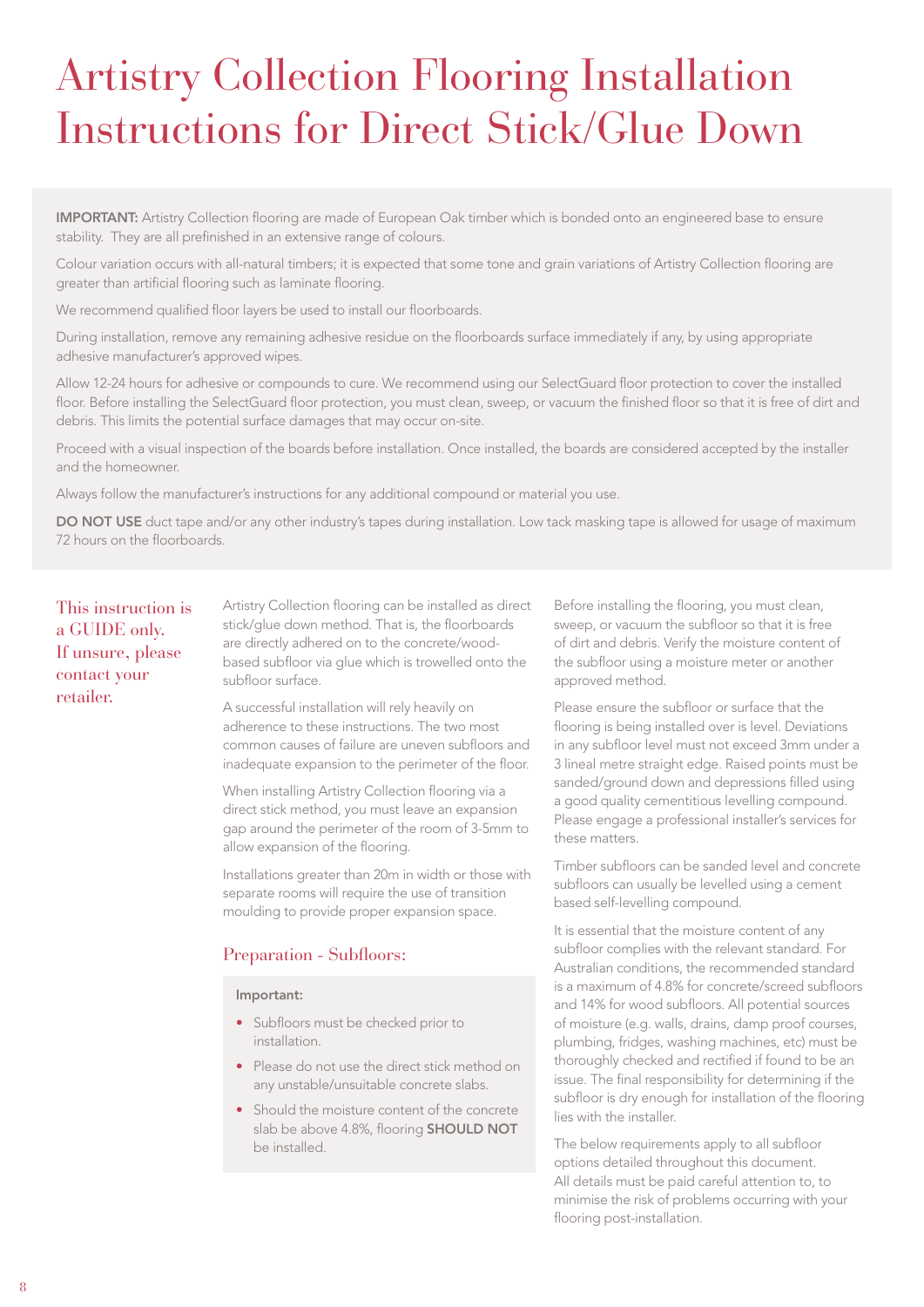## Artistry Collection Flooring Installation Instructions for Direct Stick/Glue Down

IMPORTANT: Artistry Collection flooring are made of European Oak timber which is bonded onto an engineered base to ensure stability. They are all prefinished in an extensive range of colours.

Colour variation occurs with all-natural timbers; it is expected that some tone and grain variations of Artistry Collection flooring are greater than artificial flooring such as laminate flooring.

We recommend qualified floor layers be used to install our floorboards.

During installation, remove any remaining adhesive residue on the floorboards surface immediately if any, by using appropriate adhesive manufacturer's approved wipes.

Allow 12-24 hours for adhesive or compounds to cure. We recommend using our SelectGuard floor protection to cover the installed floor. Before installing the SelectGuard floor protection, you must clean, sweep, or vacuum the finished floor so that it is free of dirt and debris. This limits the potential surface damages that may occur on-site.

Proceed with a visual inspection of the boards before installation. Once installed, the boards are considered accepted by the installer and the homeowner.

Always follow the manufacturer's instructions for any additional compound or material you use.

DO NOT USE duct tape and/or any other industry's tapes during installation. Low tack masking tape is allowed for usage of maximum 72 hours on the floorboards.

This instruction is a GUIDE only. If unsure, please contact your retailer.

Artistry Collection flooring can be installed as direct stick/glue down method. That is, the floorboards are directly adhered on to the concrete/woodbased subfloor via glue which is trowelled onto the subfloor surface.

A successful installation will rely heavily on adherence to these instructions. The two most common causes of failure are uneven subfloors and inadequate expansion to the perimeter of the floor.

When installing Artistry Collection flooring via a direct stick method, you must leave an expansion gap around the perimeter of the room of 3-5mm to allow expansion of the flooring.

Installations greater than 20m in width or those with separate rooms will require the use of transition moulding to provide proper expansion space.

#### Preparation - Subfloors:

#### Important:

- Subfloors must be checked prior to installation.
- Please do not use the direct stick method on any unstable/unsuitable concrete slabs.
- Should the moisture content of the concrete slab be above 4.8%, flooring **SHOULD NOT** be installed.

Before installing the flooring, you must clean, sweep, or vacuum the subfloor so that it is free of dirt and debris. Verify the moisture content of the subfloor using a moisture meter or another approved method.

Please ensure the subfloor or surface that the flooring is being installed over is level. Deviations in any subfloor level must not exceed 3mm under a 3 lineal metre straight edge. Raised points must be sanded/ground down and depressions filled using a good quality cementitious levelling compound. Please engage a professional installer's services for these matters.

Timber subfloors can be sanded level and concrete subfloors can usually be levelled using a cement based self-levelling compound.

It is essential that the moisture content of any subfloor complies with the relevant standard. For Australian conditions, the recommended standard is a maximum of 4.8% for concrete/screed subfloors and 14% for wood subfloors. All potential sources of moisture (e.g. walls, drains, damp proof courses, plumbing, fridges, washing machines, etc) must be thoroughly checked and rectified if found to be an issue. The final responsibility for determining if the subfloor is dry enough for installation of the flooring lies with the installer.

The below requirements apply to all subfloor options detailed throughout this document. All details must be paid careful attention to, to minimise the risk of problems occurring with your flooring post-installation.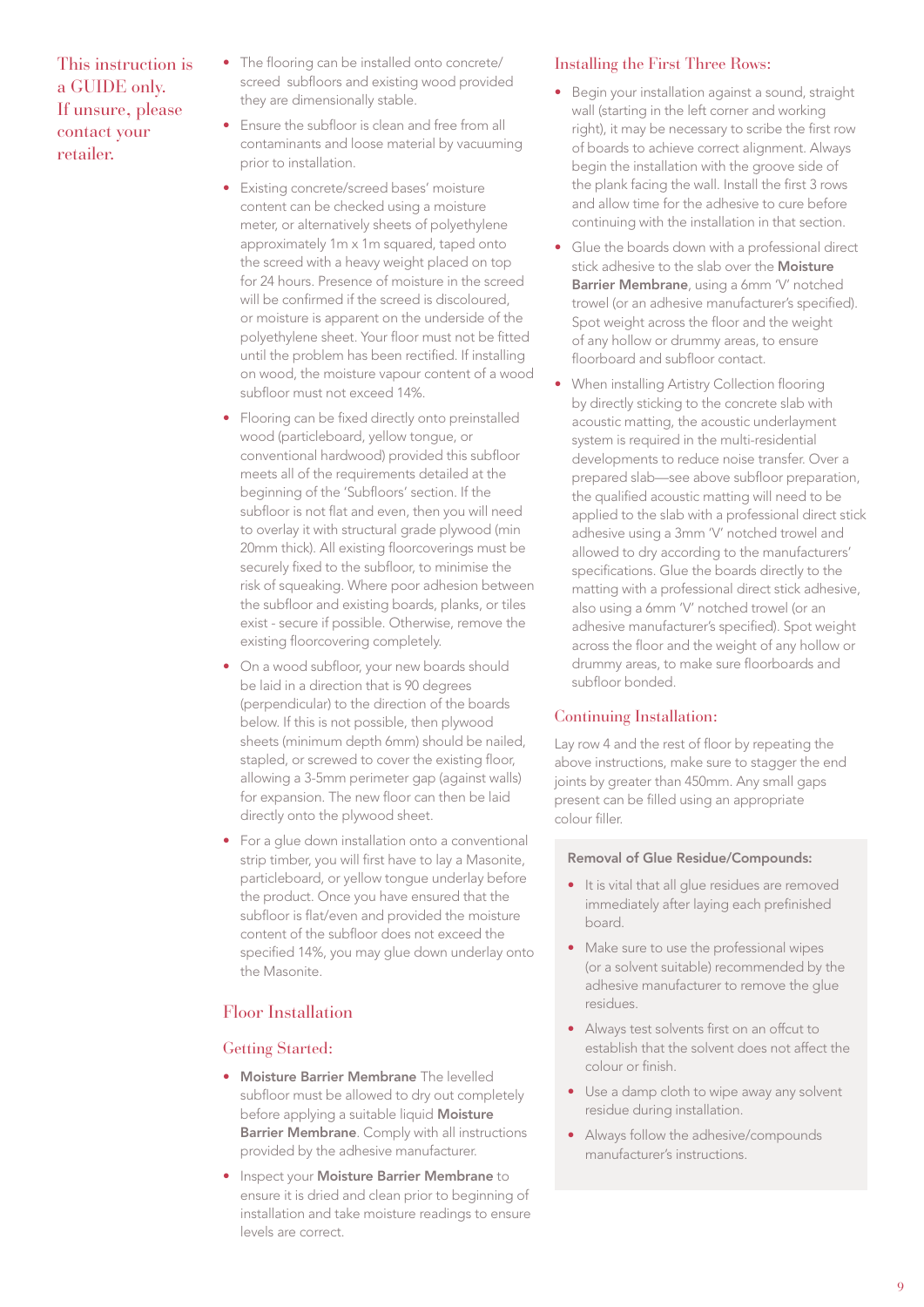- The flooring can be installed onto concrete/ screed subfloors and existing wood provided they are dimensionally stable.
- Ensure the subfloor is clean and free from all contaminants and loose material by vacuuming prior to installation.
- Existing concrete/screed bases' moisture content can be checked using a moisture meter, or alternatively sheets of polyethylene approximately 1m x 1m squared, taped onto the screed with a heavy weight placed on top for 24 hours. Presence of moisture in the screed will be confirmed if the screed is discoloured, or moisture is apparent on the underside of the polyethylene sheet. Your floor must not be fitted until the problem has been rectified. If installing on wood, the moisture vapour content of a wood subfloor must not exceed 14%.
- Flooring can be fixed directly onto preinstalled wood (particleboard, yellow tongue, or conventional hardwood) provided this subfloor meets all of the requirements detailed at the beginning of the 'Subfloors' section. If the subfloor is not flat and even, then you will need to overlay it with structural grade plywood (min 20mm thick). All existing floorcoverings must be securely fixed to the subfloor, to minimise the risk of squeaking. Where poor adhesion between the subfloor and existing boards, planks, or tiles exist - secure if possible. Otherwise, remove the existing floorcovering completely.
- On a wood subfloor, your new boards should be laid in a direction that is 90 degrees (perpendicular) to the direction of the boards below. If this is not possible, then plywood sheets (minimum depth 6mm) should be nailed, stapled, or screwed to cover the existing floor, allowing a 3-5mm perimeter gap (against walls) for expansion. The new floor can then be laid directly onto the plywood sheet.
- For a glue down installation onto a conventional strip timber, you will first have to lay a Masonite, particleboard, or yellow tongue underlay before the product. Once you have ensured that the subfloor is flat/even and provided the moisture content of the subfloor does not exceed the specified 14%, you may glue down underlay onto the Masonite.

#### Floor Installation

#### Getting Started:

- Moisture Barrier Membrane The levelled subfloor must be allowed to dry out completely before applying a suitable liquid Moisture **Barrier Membrane**. Comply with all instructions provided by the adhesive manufacturer.
- Inspect your Moisture Barrier Membrane to ensure it is dried and clean prior to beginning of installation and take moisture readings to ensure levels are correct.

#### Installing the First Three Rows:

- Begin your installation against a sound, straight wall (starting in the left corner and working right), it may be necessary to scribe the first row of boards to achieve correct alignment. Always begin the installation with the groove side of the plank facing the wall. Install the first 3 rows and allow time for the adhesive to cure before continuing with the installation in that section.
- Glue the boards down with a professional direct stick adhesive to the slab over the **Moisture** Barrier Membrane, using a 6mm 'V' notched trowel (or an adhesive manufacturer's specified). Spot weight across the floor and the weight of any hollow or drummy areas, to ensure floorboard and subfloor contact.
- When installing Artistry Collection flooring by directly sticking to the concrete slab with acoustic matting, the acoustic underlayment system is required in the multi-residential developments to reduce noise transfer. Over a prepared slab—see above subfloor preparation, the qualified acoustic matting will need to be applied to the slab with a professional direct stick adhesive using a 3mm 'V' notched trowel and allowed to dry according to the manufacturers' specifications. Glue the boards directly to the matting with a professional direct stick adhesive, also using a 6mm 'V' notched trowel (or an adhesive manufacturer's specified). Spot weight across the floor and the weight of any hollow or drummy areas, to make sure floorboards and subfloor bonded.

#### Continuing Installation:

Lay row 4 and the rest of floor by repeating the above instructions, make sure to stagger the end joints by greater than 450mm. Any small gaps present can be filled using an appropriate colour filler.

#### Removal of Glue Residue/Compounds:

- It is vital that all glue residues are removed immediately after laying each prefinished board.
- Make sure to use the professional wipes (or a solvent suitable) recommended by the adhesive manufacturer to remove the glue residues.
- Always test solvents first on an offcut to establish that the solvent does not affect the colour or finish.
- Use a damp cloth to wipe away any solvent residue during installation.
- Always follow the adhesive/compounds manufacturer's instructions.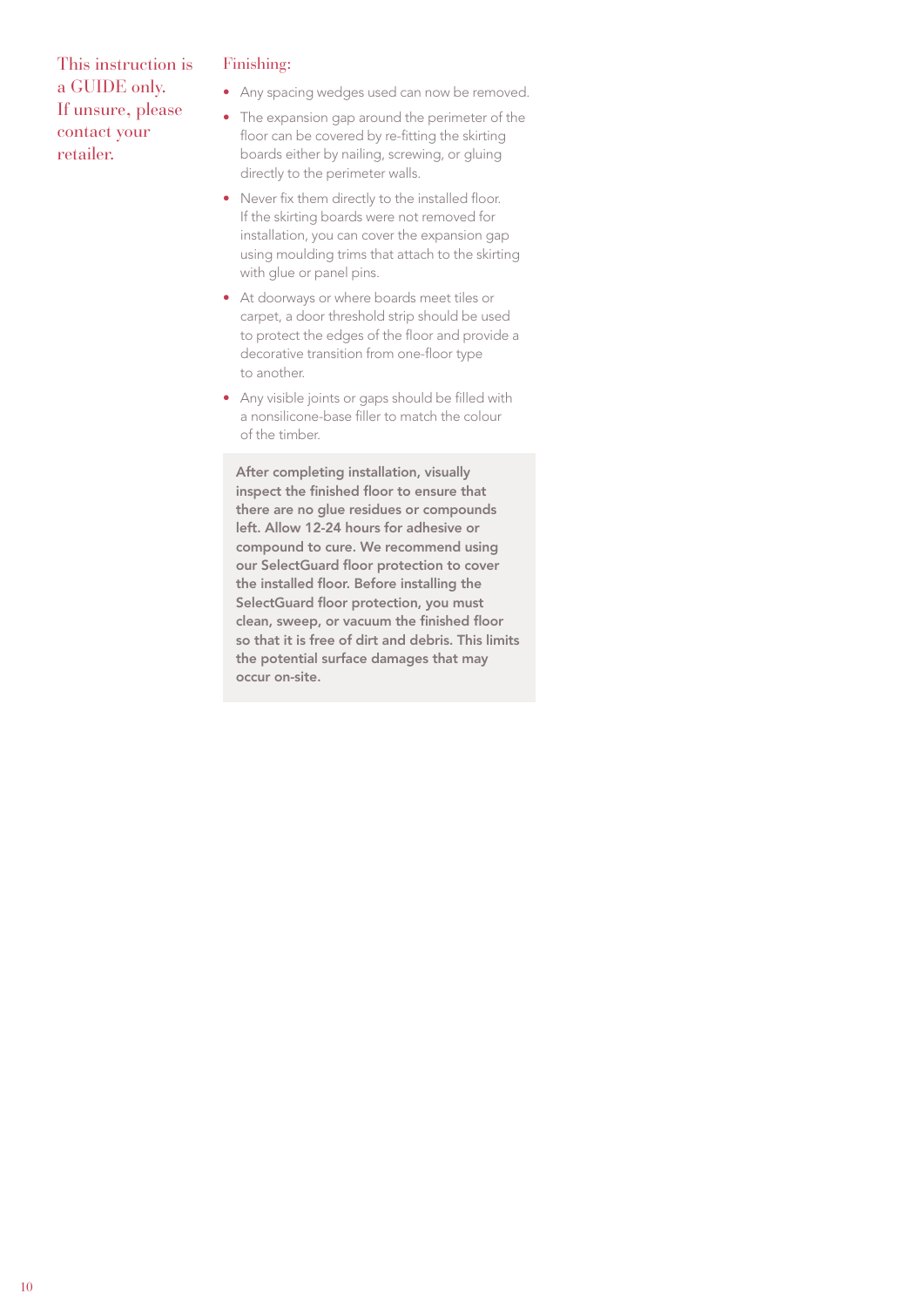#### Finishing:

- Any spacing wedges used can now be removed.
- The expansion gap around the perimeter of the floor can be covered by re-fitting the skirting boards either by nailing, screwing, or gluing directly to the perimeter walls.
- Never fix them directly to the installed floor. If the skirting boards were not removed for installation, you can cover the expansion gap using moulding trims that attach to the skirting with glue or panel pins.
- At doorways or where boards meet tiles or carpet, a door threshold strip should be used to protect the edges of the floor and provide a decorative transition from one-floor type to another.
- Any visible joints or gaps should be filled with a nonsilicone-base filler to match the colour of the timber.

After completing installation, visually inspect the finished floor to ensure that there are no glue residues or compounds left. Allow 12-24 hours for adhesive or compound to cure. We recommend using our SelectGuard floor protection to cover the installed floor. Before installing the SelectGuard floor protection, you must clean, sweep, or vacuum the finished floor so that it is free of dirt and debris. This limits the potential surface damages that may occur on-site.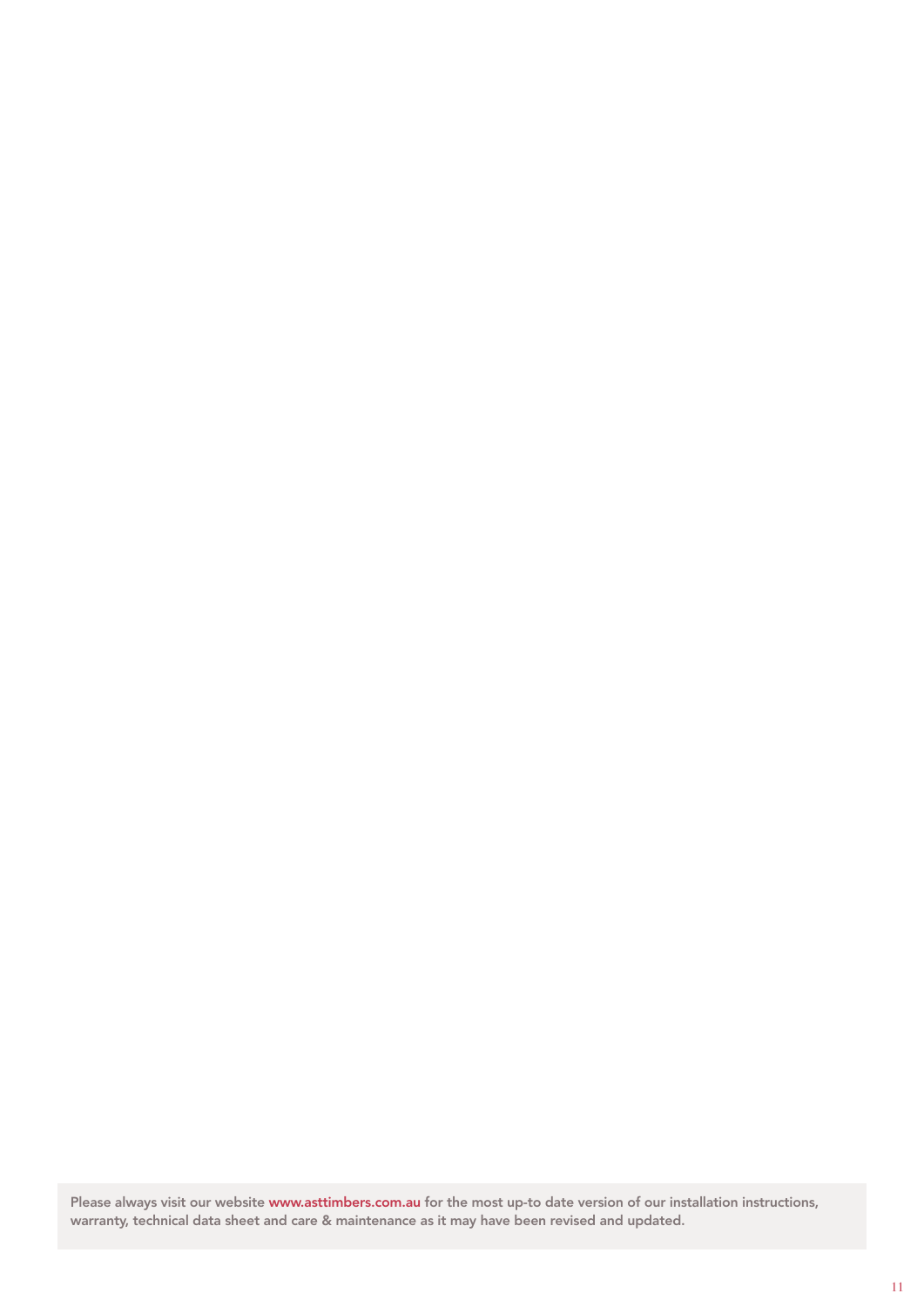Please always visit our website [www.asttimbers.com.au](http://www.asttimbers.com.au) for the most up-to date version of our installation instructions, warranty, technical data sheet and care & maintenance as it may have been revised and updated.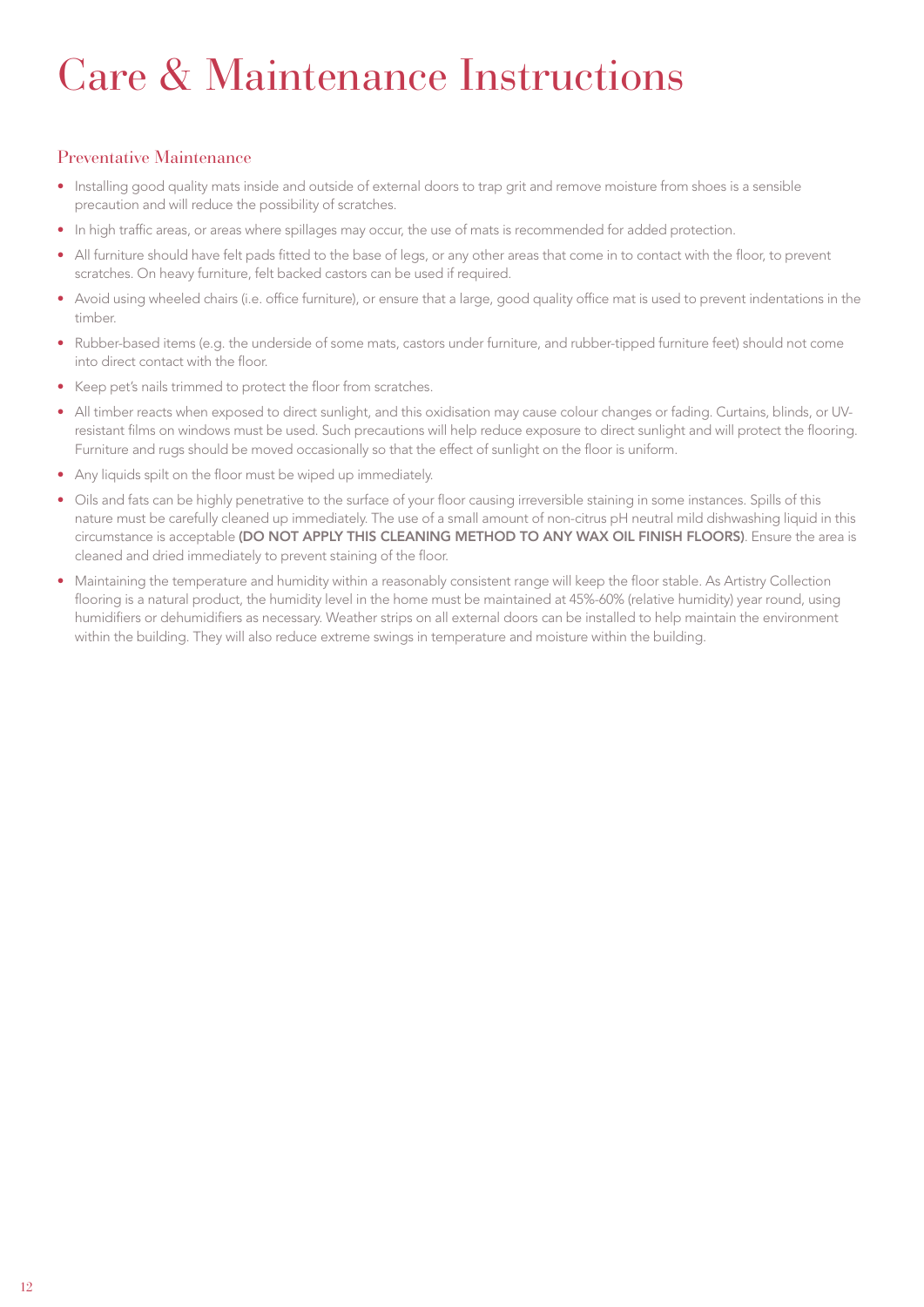## Care & Maintenance Instructions

#### Preventative Maintenance

- Installing good quality mats inside and outside of external doors to trap grit and remove moisture from shoes is a sensible precaution and will reduce the possibility of scratches.
- In high traffic areas, or areas where spillages may occur, the use of mats is recommended for added protection.
- All furniture should have felt pads fitted to the base of legs, or any other areas that come in to contact with the floor, to prevent scratches. On heavy furniture, felt backed castors can be used if required.
- Avoid using wheeled chairs (i.e. office furniture), or ensure that a large, good quality office mat is used to prevent indentations in the timber.
- Rubber-based items (e.g. the underside of some mats, castors under furniture, and rubber-tipped furniture feet) should not come into direct contact with the floor.
- Keep pet's nails trimmed to protect the floor from scratches.
- All timber reacts when exposed to direct sunlight, and this oxidisation may cause colour changes or fading. Curtains, blinds, or UVresistant films on windows must be used. Such precautions will help reduce exposure to direct sunlight and will protect the flooring. Furniture and rugs should be moved occasionally so that the effect of sunlight on the floor is uniform.
- Any liquids spilt on the floor must be wiped up immediately.
- Oils and fats can be highly penetrative to the surface of your floor causing irreversible staining in some instances. Spills of this nature must be carefully cleaned up immediately. The use of a small amount of non-citrus pH neutral mild dishwashing liquid in this circumstance is acceptable (DO NOT APPLY THIS CLEANING METHOD TO ANY WAX OIL FINISH FLOORS). Ensure the area is cleaned and dried immediately to prevent staining of the floor.
- Maintaining the temperature and humidity within a reasonably consistent range will keep the floor stable. As Artistry Collection flooring is a natural product, the humidity level in the home must be maintained at 45%-60% (relative humidity) year round, using humidifiers or dehumidifiers as necessary. Weather strips on all external doors can be installed to help maintain the environment within the building. They will also reduce extreme swings in temperature and moisture within the building.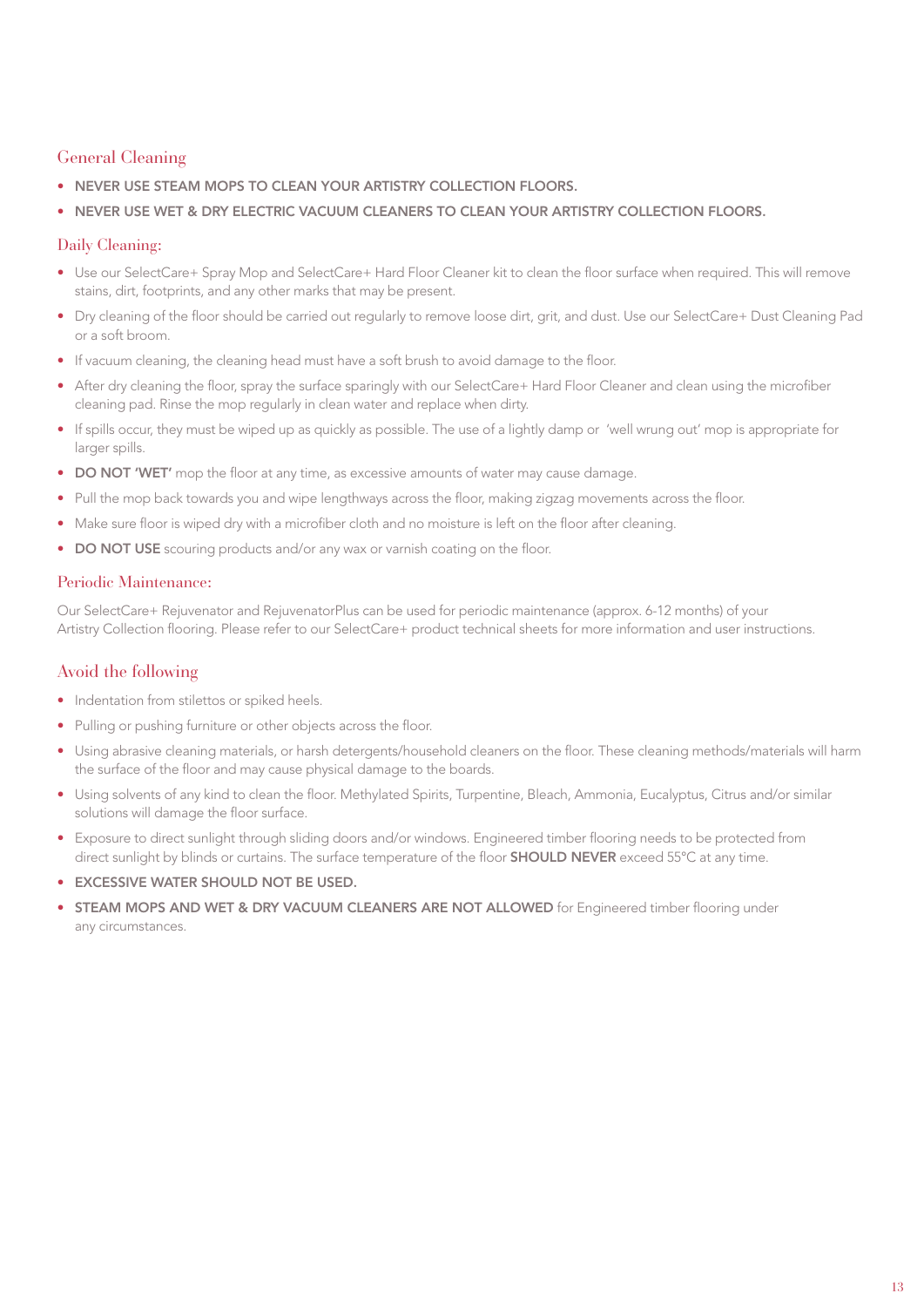#### General Cleaning

- NEVER USE STEAM MOPS TO CLEAN YOUR ARTISTRY COLLECTION FLOORS.
- NEVER USE WET & DRY ELECTRIC VACUUM CLEANERS TO CLEAN YOUR ARTISTRY COLLECTION FLOORS.

#### Daily Cleaning:

- Use our SelectCare+ Spray Mop and SelectCare+ Hard Floor Cleaner kit to clean the floor surface when required. This will remove stains, dirt, footprints, and any other marks that may be present.
- Dry cleaning of the floor should be carried out regularly to remove loose dirt, grit, and dust. Use our SelectCare+ Dust Cleaning Pad or a soft broom.
- If vacuum cleaning, the cleaning head must have a soft brush to avoid damage to the floor.
- After dry cleaning the floor, spray the surface sparingly with our SelectCare+ Hard Floor Cleaner and clean using the microfiber cleaning pad. Rinse the mop regularly in clean water and replace when dirty.
- If spills occur, they must be wiped up as quickly as possible. The use of a lightly damp or 'well wrung out' mop is appropriate for larger spills.
- DO NOT 'WET' mop the floor at any time, as excessive amounts of water may cause damage.
- Pull the mop back towards you and wipe lengthways across the floor, making zigzag movements across the floor.
- Make sure floor is wiped dry with a microfiber cloth and no moisture is left on the floor after cleaning.
- DO NOT USE scouring products and/or any wax or varnish coating on the floor.

#### Periodic Maintenance:

Our SelectCare+ Rejuvenator and RejuvenatorPlus can be used for periodic maintenance (approx. 6-12 months) of your Artistry Collection flooring. Please refer to our SelectCare+ product technical sheets for more information and user instructions.

#### Avoid the following

- Indentation from stilettos or spiked heels.
- Pulling or pushing furniture or other objects across the floor.
- Using abrasive cleaning materials, or harsh detergents/household cleaners on the floor. These cleaning methods/materials will harm the surface of the floor and may cause physical damage to the boards.
- Using solvents of any kind to clean the floor. Methylated Spirits, Turpentine, Bleach, Ammonia, Eucalyptus, Citrus and/or similar solutions will damage the floor surface.
- Exposure to direct sunlight through sliding doors and/or windows. Engineered timber flooring needs to be protected from direct sunlight by blinds or curtains. The surface temperature of the floor **SHOULD NEVER** exceed 55°C at any time.
- EXCESSIVE WATER SHOULD NOT BE USED.
- **STEAM MOPS AND WET & DRY VACUUM CLEANERS ARE NOT ALLOWED** for Engineered timber flooring under any circumstances.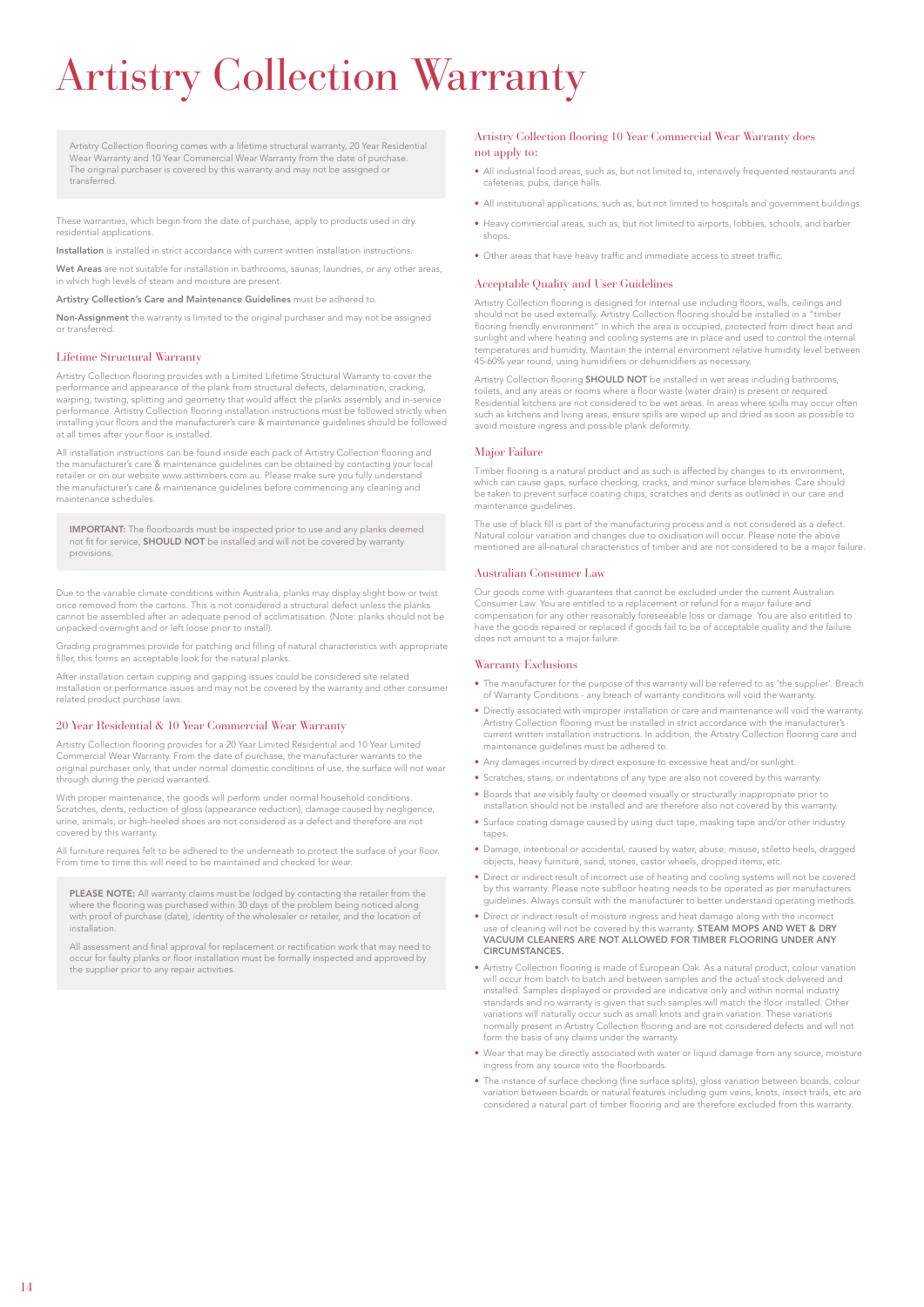## Artistry Collection Warranty

Artistry Collection flooring comes with a lifetime structural warranty, 20 Year Residential Wear Warranty and 10 Year Commercial Wear Warranty from the date of purchase. The original purchaser is covered by this warranty and may not be assigned or transferred.

These warranties, which begin from the date of purchase, apply to products used in dry residential applications.

Installation is installed in strict accordance with current written installation instructions.

Wet Areas are not suitable for installation in bathrooms, saunas, laundries, or any other areas in which high levels of steam and moisture are present.

Artistry Collection's Care and Maintenance Guidelines must be adhered to.

Non-Assignment the warranty is limited to the original purchaser and may not be assigned or transferred.

#### Lifetime Structural Warranty

Artistry Collection flooring provides with a Limited Lifetime Structural Warranty to cover the performance and appearance of the plank from structural defects, delamination, cracking, warping, twisting, splitting and geometry that would affect the planks assembly and in-service performance. Artistry Collection flooring installation instructions must be followed strictly when installing your floors and the manufacturer's care & maintenance guidelines should be followed at all times after your floor is installed.

All installation instructions can be found inside each pack of Artistry Collection flooring and the manufacturer's care & maintenance guidelines can be obtained by contacting your local retailer or on our website www.asttimbers.com.au. Please make sure you fully understand the manufacturer's care & maintenance guidelines before commencing any cleaning and maintenance schedules.

**IMPORTANT:** The floorboards must be inspected prior to use and any planks deemed<br>not fit for service, **SHOULD NOT** be installed and will not be covered by warranty provisions.

Due to the variable climate conditions within Australia, planks may display slight bow or twist once removed from the cartons. This is not considered a structural defect unless the plank cannot be assembled after an adequate period of acclimatisation. (Note: planks should not be unpacked overnight and or left loose prior to install).

Grading programmes provide for patching and filling of natural characteristics with appropriate filler, this forms an acceptable look for the natural planks.

After installation certain cupping and gapping issues could be considered site related installation or performance issues and may not be covered by the warranty and other consumer related product purchase laws.

#### 20 Year Residential & 10 Year Commercial Wear Warranty

Artistry Collection flooring provides for a 20 Year Limited Residential and 10 Year Limited Commercial Wear Warranty. From the date of purchase, the manufacturer warrants to the original purchaser only, that under normal domestic conditions of use, the surface will not wear through during the period warranted.

With proper maintenance, the goods will perform under normal household conditions. Scratches, dents, reduction of gloss (appearance reduction), damage caused by negligence, urine, animals, or high-heeled shoes are not considered as a defect and therefore are not covered by this warranty.

All furniture requires felt to be adhered to the underneath to protect the surface of your floor. From time to time this will need to be maintained and checked for wear.

PLEASE NOTE: All warranty claims must be lodged by contacting the retailer from the where the flooring was purchased within 30 days of the problem being noticed along with proof of purchase (date), identity of the wholesaler or retailer, and the location of installation.

All assessment and final approval for replacement or rectification work that may need to occur for faulty planks or floor installation must be formally inspected and approved by the supplier prior to any repair activities.

#### Artistry Collection flooring 10 Year Commercial Wear Warranty does not apply to:

- All industrial food areas, such as, but not limited to, intensively frequented restaurants and cafeterias, pubs, dance halls.
- All institutional applications, such as, but not limited to hospitals and government buildings.
- Heavy commercial areas, such as, but not limited to airports, lobbies, schools, and barber shops.
- Other areas that have heavy traffic and immediate access to street traffic.

#### Acceptable Quality and User Guidelines

Artistry Collection flooring is designed for internal use including floors, walls, ceilings and should not be used externally. Artistry Collection flooring should be installed in a "timber flooring friendly environment" in which the area is occupied, protected from direct heat and sunlight and where heating and cooling systems are in place and used to control the internal temperatures and humidity. Maintain the internal environment relative humidity level between 45-60% year round, using humidifiers or dehumidifiers as necessary.

Artistry Collection flooring **SHOULD NOT** be installed in wet areas including bathrooms, toilets, and any areas or rooms where a floor waste (water drain) is present or required. Residential kitchens are not considered to be wet areas. In areas where spills may occur often such as kitchens and living areas, ensure spills are wiped up and dried as soon as possible to avoid moisture ingress and possible plank deformity.

#### Major Failure

Timber flooring is a natural product and as such is affected by changes to its environment, which can cause gaps, surface checking, cracks, and minor surface blemishes. Care should be taken to prevent surface coating chips, scratches and dents as outlined in our care and maintenance guidelines.

The use of black fill is part of the manufacturing process and is not considered as a defect. Natural colour variation and changes due to oxidisation will occur. Please note the above mentioned are all-natural characteristics of timber and are not considered to be a major failure.

#### Australian Consumer Law

Our goods come with guarantees that cannot be excluded under the current Australian Consumer Law. You are entitled to a replacement or refund for a major failure and compensation for any other reasonably foreseeable loss or damage. You are also entitled to have the goods repaired or replaced if goods fail to be of acceptable quality and the failure does not amount to a major failure.

#### Warranty Exclusions

- The manufacturer for the purpose of this warranty will be referred to as 'the supplier'. Breach of Warranty Conditions - any breach of warranty conditions will void the warranty.
- Directly associated with improper installation or care and maintenance will void the warranty. Artistry Collection flooring must be installed in strict accordance with the manufacturer's current written installation instructions. In addition, the Artistry Collection flooring care and maintenance guidelines must be adhered to.
- Any damages incurred by direct exposure to excessive heat and/or sunlight.
- Scratches, stains, or indentations of any type are also not covered by this warranty.
- Boards that are visibly faulty or deemed visually or structurally inappropriate prior to installation should not be installed and are therefore also not covered by this warranty.
- Surface coating damage caused by using duct tape, masking tape and/or other industry tanes
- Damage, intentional or accidental, caused by water, abuse, misuse, stiletto heels, dragged objects, heavy furniture, sand, stones, castor wheels, dropped items, etc.
- Direct or indirect result of incorrect use of heating and cooling systems will not be covered by this warranty. Please note subfloor heating needs to be operated as per manufacturers guidelines. Always consult with the manufacturer to better understand operating methods.
- Direct or indirect result of moisture ingress and heat damage along with the incorrect use of cleaning will not be covered by this warranty. **STEAM MOPS AND WET & DRY** VACUUM CLEANERS ARE NOT ALLOWED FOR TIMBER FLOORING UNDER ANY CIRCUMSTANCES.
- Artistry Collection flooring is made of European Oak. As a natural product, colour variation will occur from batch to batch and between samples and the actual stock delivered and installed. Samples displayed or provided are indicative only and within normal industry standards and no warranty is given that such samples will match the floor installed. Other variations will naturally occur such as small knots and grain variation. These variations normally present in Artistry Collection flooring and are not considered defects and will not form the basis of any claims under the warranty
- Wear that may be directly associated with water or liquid damage from any source, moisture ingress from any source into the floorboards.
- The instance of surface checking (fine surface splits), gloss variation between boards, colour variation between boards or natural features including gum veins, knots, insect trails, etc are considered a natural part of timber flooring and are therefore excluded from this warranty.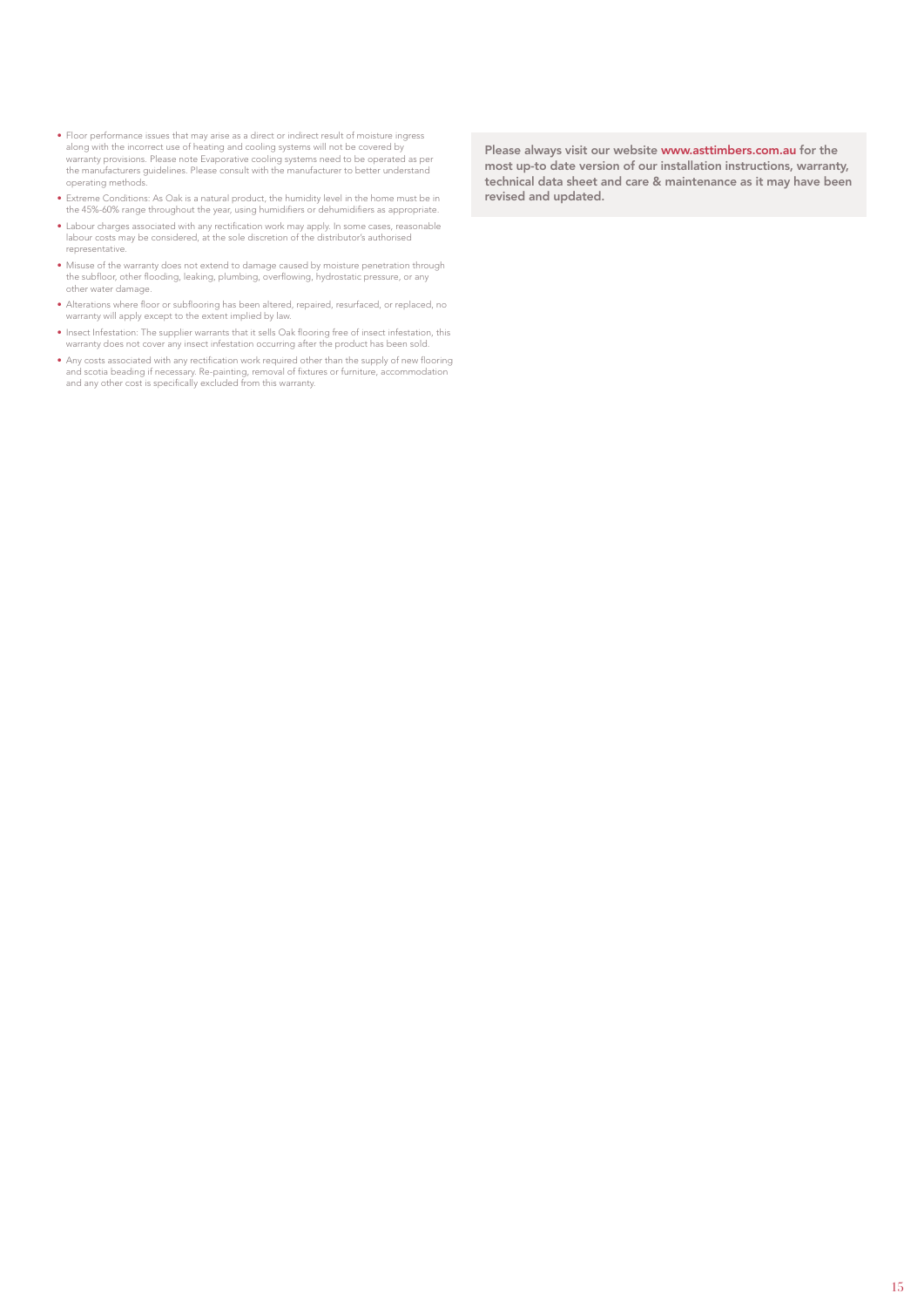- Floor performance issues that may arise as a direct or indirect result of moisture ingress along with the incorrect use of heating and cooling systems will not be covered by warranty provisions. Please note Evaporative cooling systems need to be operated as per the manufacturers guidelines. Please consult with the manufacturer to better understand operating methods.
- Extreme Conditions: As Oak is a natural product, the humidity level in the home must be in the 45%-60% range throughout the year, using humidifiers or dehumidifiers as appropriate.
- Labour charges associated with any rectification work may apply. In some cases, reasonable labour costs may be considered, at the sole discretion of the distributor's authorised representative.
- Misuse of the warranty does not extend to damage caused by moisture penetration through the subfloor, other flooding, leaking, plumbing, overflowing, hydrostatic pressure, or any other water damage.
- Alterations where floor or subflooring has been altered, repaired, resurfaced, or replaced, no warranty will apply except to the extent implied by law.
- Insect Infestation: The supplier warrants that it sells Oak flooring free of insect infestation, this warranty does not cover any insect infestation occurring after the product has been sold.
- Any costs associated with any rectification work required other than the supply of new flooring and scotia beading if necessary. Re-painting, removal of fixtures or furniture, accommodation and any other cost is specifically excluded from this warranty.

Please always visit our website [www.asttimbers.com.au](http://www.asttimbers.com.au) for the most up-to date version of our installation instructions, warranty, technical data sheet and care & maintenance as it may have been revised and updated.